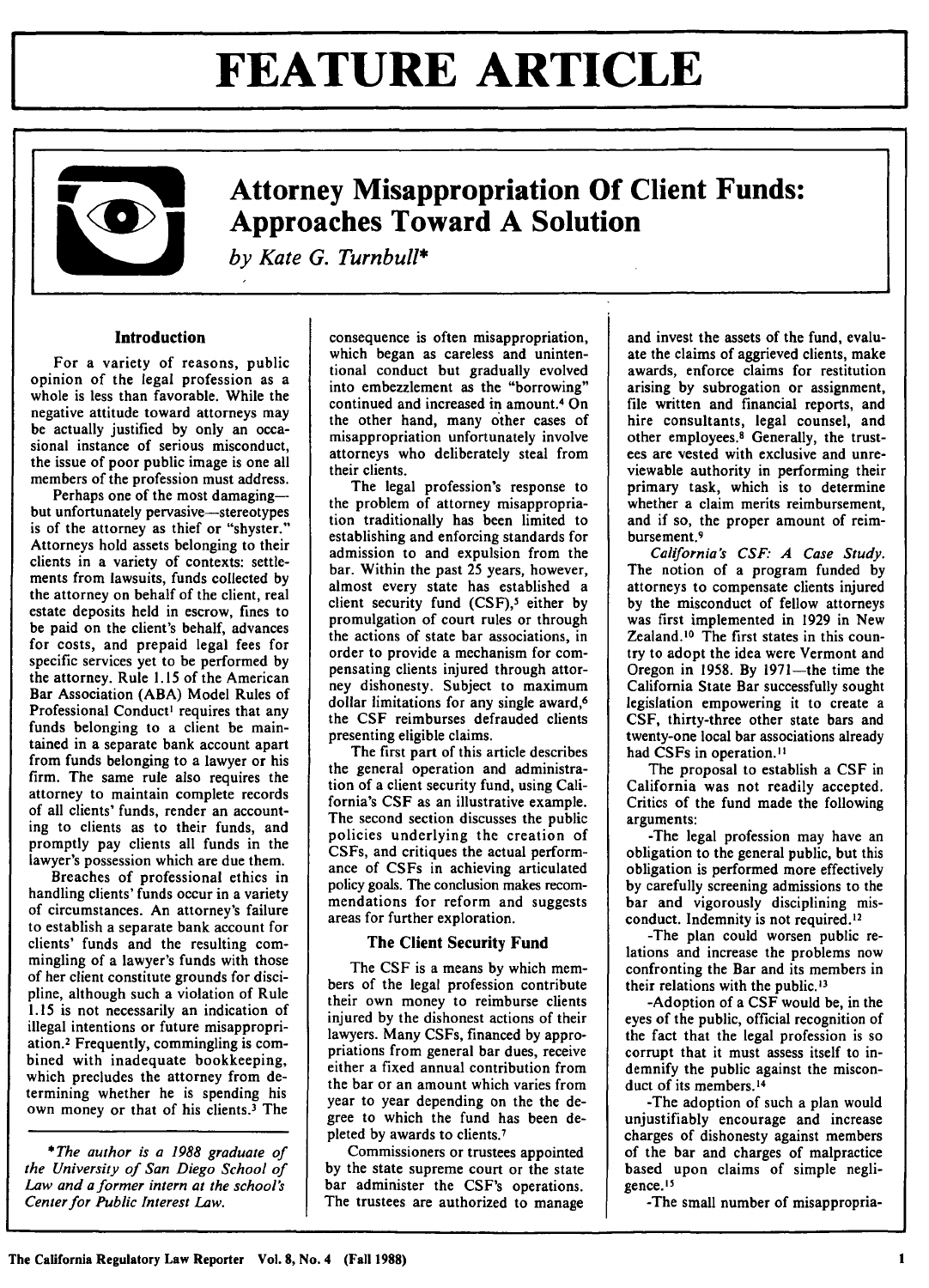# **FEATURE ARTICLE**



### **Attorney Misappropriation Of Client Funds: Approaches Toward A Solution**

*by Kate G. Turnbull\**

### **Introduction**

**For a** variety of reasons, public opinion of the legal profession as a whole is less than favorable. While the negative attitude toward attorneys may be actually justified by only an occasional instance of serious misconduct, the issue of poor public image is one all members of the profession must address.

Perhaps one of the most damagingbut unfortunately pervasive-stereotypes is of the attorney as thief or "shyster." Attorneys hold assets belonging to their clients in a variety of contexts: settlements from lawsuits, funds collected by the attorney on behalf of the client, real estate deposits held in escrow, fines to be paid on the client's behalf, advances for costs, and prepaid legal fees for specific services yet to be performed by the attorney. Rule 1.15 of the American Bar Association (ABA) Model Rules of Professional Conduct' requires that any funds belonging to a client be maintained in a separate bank account apart from funds belonging to a lawyer or his firm. The same rule also requires the attorney to maintain complete records of all clients' funds, render an accounting to clients as to their funds, and promptly pay clients all funds in the lawyer's possession which are due them.

Breaches of professional ethics in handling clients' funds occur in a variety of circumstances. An attorney's failure to establish a separate bank account for clients' funds and the resulting commingling of a lawyer's funds with those of her client constitute grounds for discipline, although such a violation of Rule 1.15 is not necessarily an indication of illegal intentions or future misappropriation.<sup>2</sup> Frequently, commingling is combined with inadequate bookkeeping, which precludes the attorney from determining whether he is spending his own money or that of his clients.<sup>3</sup> The

**\*** The *author is a 1988 graduate of* the University *of San Diego School of* Law and a former intern at the school's Center for Public Interest Law.

consequence is often misappropriation, which began as careless and unintentional conduct but gradually evolved into embezzlement as the "borrowing" continued and increased in amount.4 On the other hand, many other cases of misappropriation unfortunately involve attorneys who deliberately steal from their clients.

The legal profession's response to the problem of attorney misappropriation traditionally has been limited to establishing and enforcing standards for admission to and expulsion from the bar. Within the past 25 years, however, almost every state has established a client security fund (CSF),<sup>5</sup> either by promulgation of court rules or through the actions of state bar associations, in order to provide a mechanism for compensating clients injured through attorney dishonesty. Subject to maximum dollar limitations for any single award,<sup>6</sup> the CSF reimburses defrauded clients presenting eligible claims.

The first part of this article describes the general operation and administration of a client security fund, using California's CSF as an illustrative example. The second section discusses the public policies underlying the creation of CSFs, and critiques the actual performance of CSFs in achieving articulated policy goals. The conclusion makes recommendations for reform and suggests areas for further exploration.

#### **The Client** Security **Fund**

The CSF is a means by which members of the legal profession contribute their own money to reimburse clients injured by the dishonest actions of their lawyers. Many CSFs, financed by appropriations from general bar dues, receive either a fixed annual contribution from the bar or an amount which varies from year to year depending on the the degree to which the fund has been depleted by awards to clients.<sup>7</sup>

Commissioners or trustees appointed by the state supreme court or the state bar administer the CSF's operations. The trustees are authorized to manage

and invest the assets of the fund, evaluate the claims of aggrieved clients, make awards, enforce claims for restitution arising **by** subrogation or assignment, file written and financial reports, and hire consultants, legal counsel, and other employees.<sup>8</sup> Generally, the trustees are vested with exclusive and unreviewable authority in performing their primary task, which is to determine whether a claim merits reimbursement, and if so, the proper amount of reimbursement.<sup>9</sup>

*California's CSF: A Case Study.* The notion of a program funded by attorneys to compensate clients injured **by** the misconduct of fellow attorneys was first implemented in 1929 in New Zealand.<sup>10</sup> The first states in this country to adopt the idea were Vermont and Oregon in 1958. By 1971-the time the California State Bar successfully sought legislation empowering it to create a CSF, thirty-three other state bars and twenty-one local bar associations already had CSFs in operation.<sup>11</sup>

The proposal to establish a CSF in California was not readily accepted. Critics of the fund made the following arguments:

-The legal profession may have an obligation to the general public, but this obligation is performed more effectively by carefully screening admissions to the bar and vigorously disciplining misconduct. Indemnity is not required.<sup>12</sup>

-The plan could worsen public relations and increase the problems now confronting the Bar and its members in their relations with the public.<sup>13</sup>

-Adoption of a CSF would be, in the eyes of the public, official recognition of the fact that the legal profession is so corrupt that it must assess itself to indemnify the public against the misconduct of its members.<sup>14</sup>

-The adoption of such a plan would unjustifiably encourage and increase charges of dishonesty against members of the bar and charges of malpractice based upon claims of simple negligence. '

-The small number of misappropria-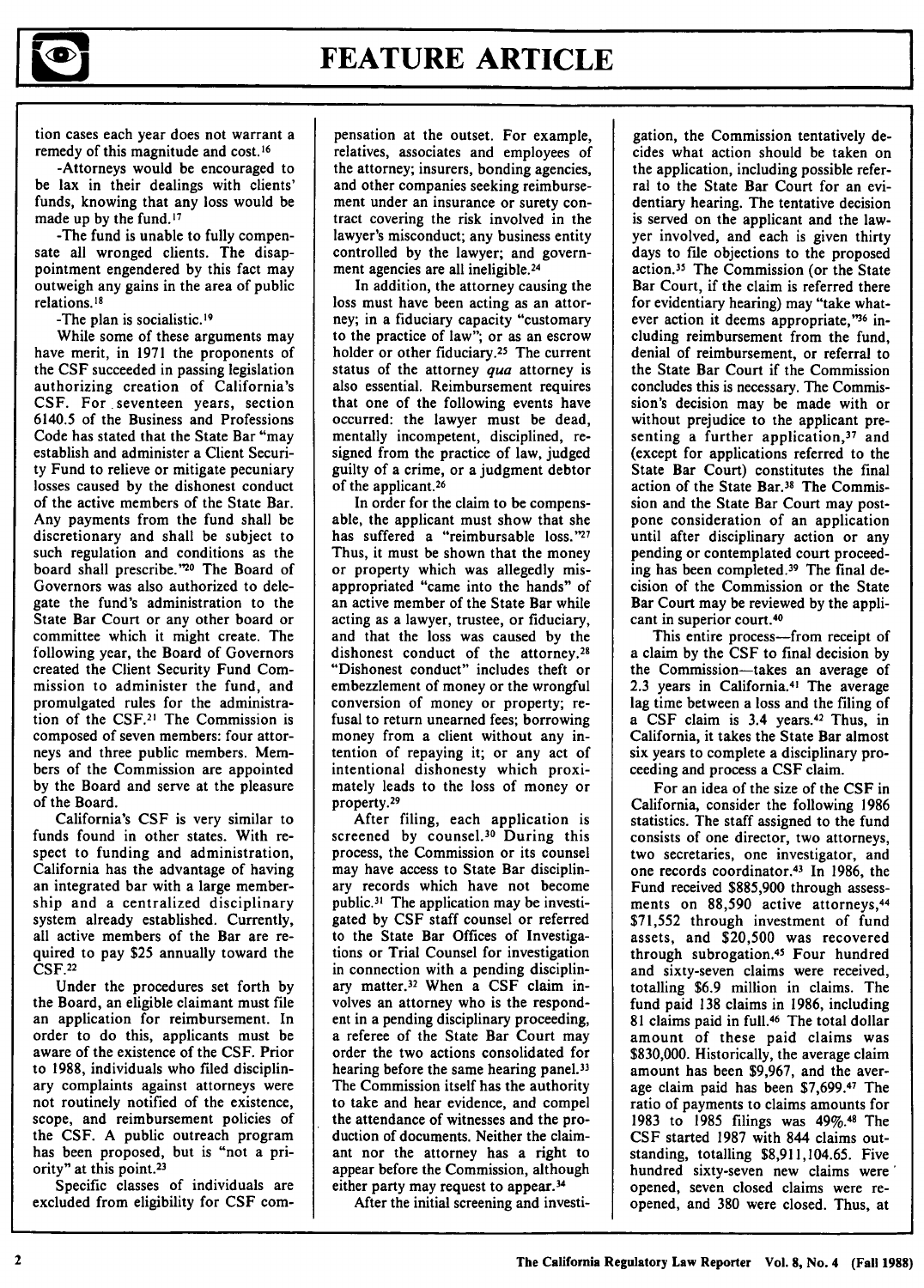

tion cases each year does not warrant a remedy of this magnitude and cost. **16**

-Attorneys would be encouraged to be lax in their dealings with clients' funds, knowing that any loss would be made up **by** the fund. <sup>17</sup>

-The fund is unable to fully compensate all wronged clients. The disappointment engendered **by** this fact may outweigh any gains in the area of public relations. **<sup>18</sup>**

-The plan is socialistic. 19

While some of these arguments may have merit, in **1971** the proponents of the **CSF** succeeded in passing legislation authorizing creation of California's CSF. For seventeen years, section 6140.5 of the Business and Professions Code has stated that the State Bar "may establish and administer a Client Security Fund to relieve or mitigate pecuniary losses caused by the dishonest conduct of the active members of the State Bar. Any payments from the fund shall be discretionary and shall be subject to such regulation and conditions as the board shall prescribe."<sup>20</sup> The Board of Governors was also authorized to delegate the fund's administration to the State Bar Court or any other board or committee which it might create. The following year, the Board of Governors created the Client Security Fund Commission to administer the fund, and promulgated rules for the administration of the CSF.<sup>2</sup> ' The Commission is composed of seven members: four attorneys and three public members. Members of the Commission are appointed by the Board and serve at the pleasure of the Board.

California's CSF is very similar to funds found in other states. With respect to funding and administration, California has the advantage of having an integrated bar with a large membership and a centralized disciplinary system already established. Currently, all active members of the Bar are required to pay \$25 annually toward the CSF.22

Under the procedures set forth **by** the Board, an eligible claimant must file an application for reimbursement. In order to do this, applicants must be aware of the existence of the CSF. Prior to 1988, individuals who filed disciplinary complaints against attorneys were not routinely notified of the existence, scope, and reimbursement policies of the CSF. A public outreach program has been proposed, but is "not a priority" at this point.<sup>23</sup>

Specific classes of individuals are excluded from eligibility for CSF compensation at the outset. For example, relatives, associates and employees of the attorney; insurers, bonding agencies, and other companies seeking reimbursement under an insurance or surety contract covering the risk involved in the lawyer's misconduct; any business entity controlled by the lawyer; and government agencies are all ineligible.<sup>24</sup>

In addition, the attorney causing the loss must have been acting as an attorney; in a fiduciary capacity "customary to the practice of law"; or as an escrow holder or other fiduciary.<sup>25</sup> The current status of the attorney *qua* attorney is also essential. Reimbursement requires that one of the following events have occurred: the lawyer must be dead, mentally incompetent, disciplined, resigned from the practice of law, judged guilty of a crime, or a judgment debtor of the applicant.<sup>26</sup>

In order for the claim to be compensable, the applicant must show that she has suffered a "reimbursable **loss."<sup>27</sup>** Thus, it must be shown that the money or property which was allegedly misappropriated "came into the hands" of an active member of the State Bar while acting as a lawyer, trustee, or fiduciary, and that the loss was caused **by** the dishonest conduct of the attorney.<sup>28</sup> "Dishonest conduct" includes theft or embezzlement of money or the wrongful conversion of money or property; refusal to return unearned fees; borrowing money from a client without any intention of repaying it; or any act of intentional dishonesty which proximately leads to the loss of money or property.

After filing, each application is screened by counsel.<sup>30</sup> During this process, the Commission or its counsel may have access to State Bar disciplinary records which have not become public.<sup>31</sup> The application may be investigated by CSF staff counsel or referred to the State Bar Offices of Investigations or Trial Counsel for investigation in connection with a pending disciplinary matter.<sup>32</sup> When a CSF claim involves an attorney who is the respondent in a pending disciplinary proceeding, a referee of the State Bar Court may order the two actions consolidated for hearing before the same hearing panel.<sup>33</sup> The Commission itself has the authority to take and hear evidence, and compel the attendance of witnesses and the production of documents. Neither the claimant nor the attorney has a right to appear before the Commission, although either party may request to appear.<sup>34</sup>

After the initial screening and investi-

gation, the Commission tentatively decides what action should be taken on the application, including possible referral to the State Bar Court for an evidentiary hearing. The tentative decision is served on the applicant and the lawyer involved, and each is given thirty days to file objections to the proposed action.<sup>35</sup> The Commission (or the State Bar Court, if the claim is referred there for evidentiary hearing) may "take whatever action it deems appropriate,"<sup>36</sup> including reimbursement from the fund, denial of reimbursement, or referral to the State Bar Court if the Commission concludes this is necessary. The Commission's decision may be made with or without prejudice to the applicant presenting a further application, $37$  and (except for applications referred to the State Bar Court) constitutes the final action of the State Bar.30 The Commission and the State Bar Court may postpone consideration of an application until after disciplinary action or any pending or contemplated court proceeding has been completed.<sup>39</sup> The final decision of the Commission or the State Bar Court may be reviewed by the applicant in superior court. <sup>40</sup>

This entire process-from receipt of a claim by the CSF to final decision by the Commission-takes an average of 2.3 years in California.<sup>41</sup> The average lag time between a loss and the filing of a CSF claim is 3.4 years.42 Thus, in California, it takes the State Bar almost six years to complete a disciplinary proceeding and process a CSF claim.

For an idea of the size of the CSF in California, consider the following 1986 statistics. The staff assigned to the fund consists of one director, two attorneys, two secretaries, one investigator, and one records coordinator.<sup>43</sup> In 1986, the Fund received \$885,900 through assessments on 88,590 active attorneys, <sup>44</sup> \$71,552 through investment of fund assets, and \$20,500 was recovered through subrogation.<sup>45</sup> Four hundred and sixty-seven claims were received, totalling \$6.9 million in claims. The fund paid 138 claims in 1986, including 81 claims paid in full.<sup>46</sup> The total dollar amount of these paid claims was \$830,000. Historically, the average claim amount has been \$9,967, and the average claim paid has been \$7,699.47 The ratio of payments to claims amounts for 1983 to 1985 filings was **49%.48** The CSF started 1987 with 844 claims outstanding, totalling \$8,911,104.65. Five hundred sixty-seven new claims were opened, seven closed claims were reopened, and 380 were closed. Thus, at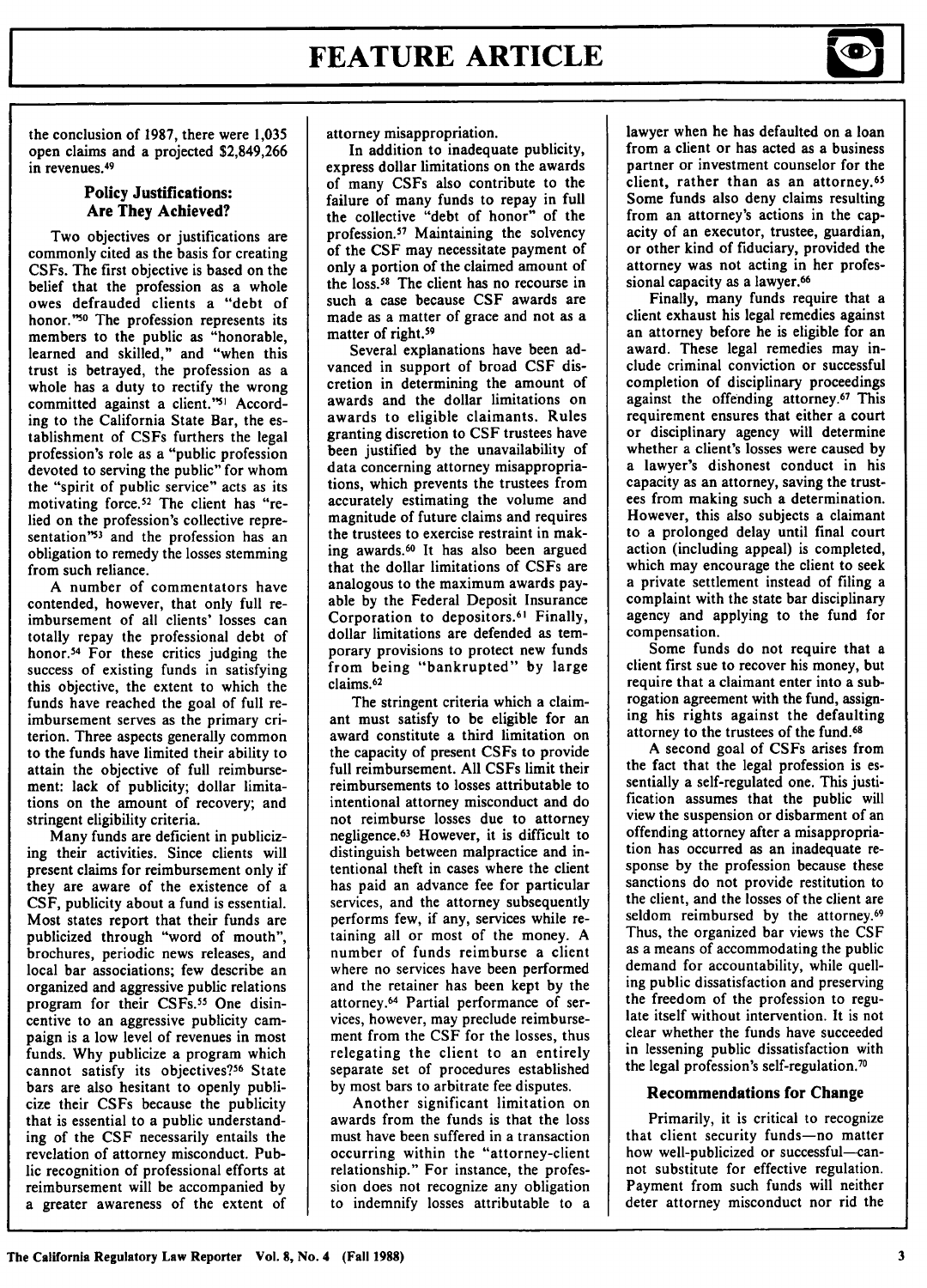

the conclusion of **1987,** there were **1,035** open claims and a projected **\$2,849,266** in revenues.<sup>49</sup>

### **Policy Justifications: Are They Achieved?**

**Two objectives or** justifications are commonly cited as the basis for creating CSFs. The first objective is based on the belief that the profession as a whole owes defrauded clients a "debt of honor."<sup>50</sup> The profession represents its members to the public as "honorable, learned and skilled," and "when this trust is betrayed, the profession as a whole has a duty to rectify the wrong committed against a client."<sup>51</sup> According to the California State Bar, the establishment of CSFs furthers the legal profession's role as a "public profession devoted to serving the public" for whom the "spirit of public service" acts as its motivating force.<sup>52</sup> The client has "relied on the profession's collective representation"53 and the profession has an obligation to remedy the losses stemming from such reliance.

**A** number of commentators have contended, however, that only full reimbursement of all clients' losses can totally repay the professional debt of honor.<sup>54</sup> For these critics judging the success of existing funds in satisfying this objective, the extent to which the funds have reached the goal of full reimbursement serves as the primary criterion. Three aspects generally common to the funds have limited their ability to attain the objective of full reimbursement: lack of publicity; dollar limitations on the amount of recovery; and stringent eligibility criteria.

Many funds are deficient in publicizing their activities. Since clients will present claims for reimbursement only if they are aware of the existence of a CSF, publicity about a fund is essential. Most states report that their funds are publicized through "word of mouth", brochures, periodic news releases, and local bar associations; few describe an organized and aggressive public relations program for their CSFs.<sup>55</sup> One disincentive to an aggressive publicity campaign is a low level of revenues in most funds. Why publicize a program which cannot satisfy its objectives?<sup>56</sup> State bars are also hesitant to openly publicize their CSFs because the publicity that is essential to a public understanding of the CSF necessarily entails the revelation of attorney misconduct. Public recognition of professional efforts at reimbursement will be accompanied by a greater awareness of the extent of

attorney misappropriation.

In addition to inadequate publicity, express dollar limitations on the awards of many CSFs also contribute to the failure of many funds to repay in full the collective "debt of honor" of the profession.57 Maintaining the solvency of the **CSF** may necessitate payment **of** only a portion of the claimed amount of the loss.58 The client has no recourse in such a case because **CSF** awards are made as a matter of grace and not as a matter of right.<sup>59</sup>

Several explanations have been advanced in support of broad **CSF** discretion in determining the amount of awards and the dollar limitations on awards to eligible claimants. Rules granting discretion to **CSF** trustees have been justified **by** the unavailability of data concerning attorney misappropriations, which prevents the trustees from accurately estimating the volume and magnitude of future claims and requires the trustees to exercise restraint in making awards.<sup>60</sup> It has also been argued that the dollar limitations of CSFs are analogous to the maximum awards payable **by** the Federal Deposit Insurance Corporation to depositors.<sup>61</sup> Finally dollar limitations are defended as temporary provisions to protect new funds from being "bankrupted" **by** large claims.<sup>62</sup>

The stringent criteria which a claimant must satisfy to be eligible for an award constitute a third limitation on the capacity of present CSFs to provide full reimbursement. All CSFs limit their reimbursements to losses attributable to intentional attorney misconduct and do not reimburse losses due to attorney negligence.<sup>63</sup> However, it is difficult to distinguish between malpractice and intentional theft in cases where the client has paid an advance fee for particular services, and the attorney subsequently performs few, if any, services while retaining all or most of the money. **A** number of funds reimburse a client where no services have been performed and the retainer has been kept **by** the attorney.64 Partial performance of services, however, may preclude reimbursement from the CSF for the losses, thus relegating the client to an entirely separate set of procedures established by most bars to arbitrate fee disputes.

Another significant limitation on awards from the funds is that the loss must have been suffered in a transaction occurring within the "attorney-client relationship." For instance, the profession does not recognize any obligation to indemnify losses attributable to a

lawyer when he has defaulted on a loan from a client or has acted as a business partner or investment counselor for the client, rather than as an attorney. 65 Some funds also deny claims resulting from an attorney's actions in the capacity of an executor, trustee, guardian, or other kind of fiduciary, provided the attorney was not acting in her professional capacity as a lawyer.<sup>66</sup>

Finally, many funds require that a client exhaust his legal remedies against an attorney before he is eligible for an award. These legal remedies may include criminal conviction or successful completion of disciplinary proceedings against the offending attorney.67 This requirement ensures that either a court or disciplinary agency will determine whether a client's losses were caused **by** a lawyer's dishonest conduct in his capacity as an attorney, saving the trustees from making such a determination. However, this also subjects a claimant to a prolonged delay until final court action (including appeal) is completed, which may encourage the client to seek a private settlement instead of filing a complaint with the state bar disciplinary agency and applying to the fund for compensation.

Some funds do not require that a client first sue to recover his money, but require that a claimant enter into a subrogation agreement with the fund, assigning his rights against the defaulting attorney to the trustees of the fund.<sup>68</sup>

**A** second goal of CSFs arises from the fact that the legal profession is essentially a self-regulated one. This justification assumes that the public will view the suspension or disbarment of an offending attorney after a misappropriation has occurred as an inadequate response **by** the profession because these sanctions do not provide restitution to the client, and the losses of the client are seldom reimbursed **by** the attorney.<sup>69</sup> Thus, the organized bar views the **CSF** as a means of accommodating the public demand for accountability, while quelling public dissatisfaction and preserving the freedom of the profession to regulate itself without intervention. It is not clear whether the funds have succeeded in lessening public dissatisfaction with the legal profession's self-regulation.<sup>70</sup>

#### **Recommendations for Change**

Primarily, it is critical to recognize that client security funds-no matter how well-publicized or successful-cannot substitute for effective regulation. Payment from such funds will neither deter attorney misconduct nor rid the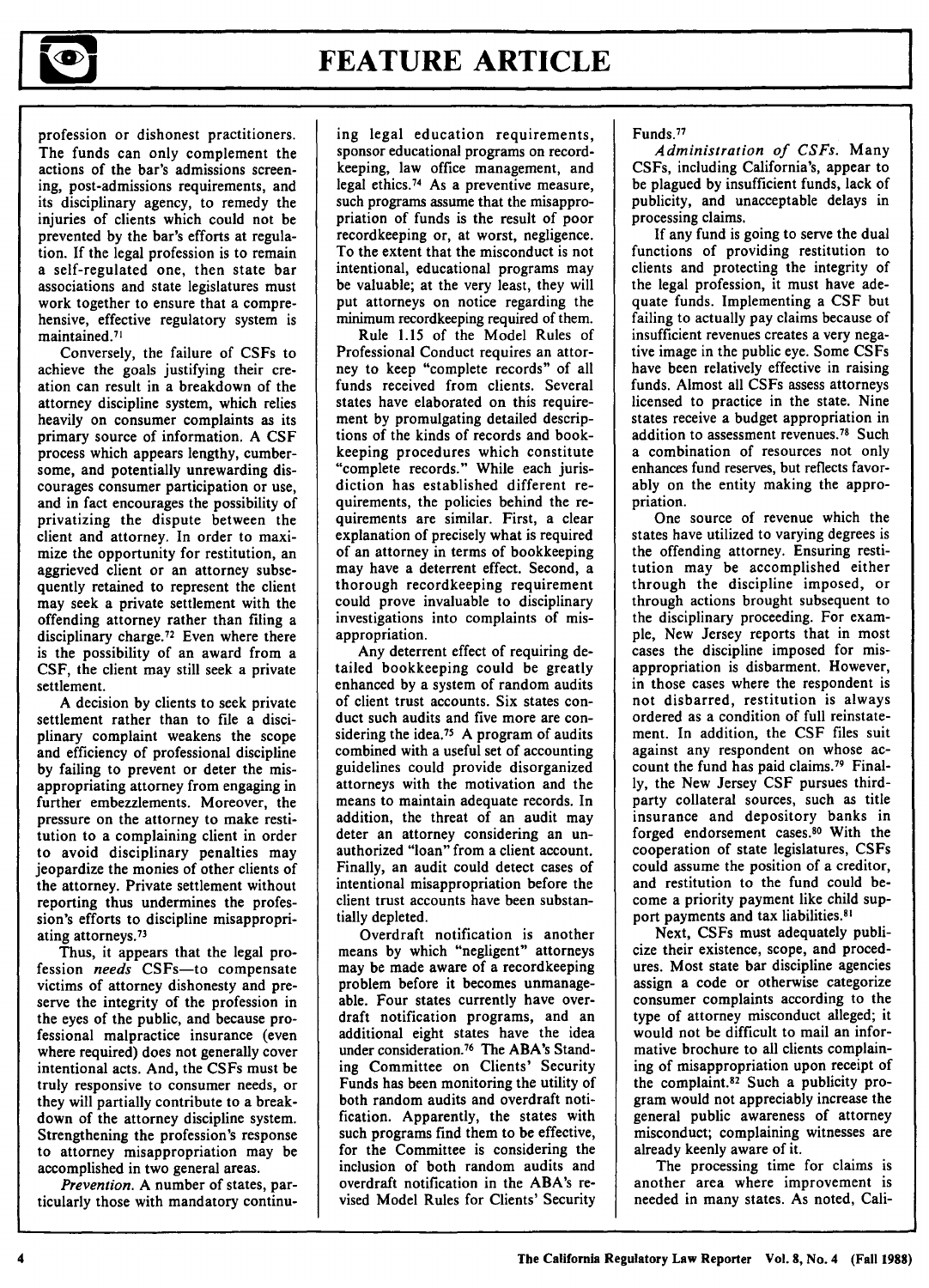

## **FEATURE ARTICLE**

profession or dishonest practitioners. The funds can only complement the actions of the bar's admissions screening, post-admissions requirements, and its disciplinary agency, to remedy the injuries of clients which could not be prevented **by** the bar's efforts at regulation. **If** the legal profession is to remain a self-regulated one, then state bar associations and state legislatures must work together to ensure that a comprehensive, effective regulatory system is maintained.<sup>71</sup>

Conversely, the failure of CSFs to achieve the goals justifying their creation can result in a breakdown of the attorney discipline system, which relies heavily on consumer complaints as its primary source of information. A CSF process which appears lengthy, cumbersome, and potentially unrewarding discourages consumer participation or use, and in fact encourages the possibility of privatizing the dispute between the client and attorney. In order to maximize the opportunity for restitution, an aggrieved client or an attorney subsequently retained to represent the client may seek a private settlement with the offending attorney rather than filing a disciplinary charge.<sup>72</sup> Even where there is the possibility of an award from a CSF, the client may still seek a private settlement.

A decision by clients to seek private settlement rather than to file a disciplinary complaint weakens the scope and efficiency of professional discipline by failing to prevent or deter the misappropriating attorney from engaging in further embezzlements. Moreover, the pressure on the attorney to make restitution to a complaining client in order to avoid disciplinary penalties may jeopardize the monies of other clients of the attorney. Private settlement without reporting thus undermines the profession's efforts to discipline misappropriating attorneys.<sup>73</sup>

Thus, it appears that the legal profession *needs* CSFs-to compensate victims of attorney dishonesty and preserve the integrity of the profession in the eyes of the public, and because professional malpractice insurance (even where required) does not generally cover intentional acts. And, the CSFs must be truly responsive to consumer needs, or they will partially contribute to a breakdown of the attorney discipline system. Strengthening the profession's response to attorney misappropriation may be accomplished in two general areas.

*Prevention.* A number of states, particularly those with mandatory continuing legal education requirements, sponsor educational programs on recordkeeping, law office management, and legal ethics.74 As a preventive measure, such programs assume that the misappropriation of funds is the result of poor recordkeeping or, at worst, negligence. To the extent that the misconduct is not intentional, educational programs may be valuable; at the very least, they will put attorneys on notice regarding the minimum recordkeeping required of them.

Rule 1.15 of the Model Rules of Professional Conduct requires an attorney to keep "complete records" of all funds received from clients. Several states have elaborated on this requirement by promulgating detailed descriptions of the kinds of records and bookkeeping procedures which constitute "complete records." While each jurisdiction has established different requirements, the policies behind the requirements are similar. First, a clear explanation of precisely what is required of an attorney in terms of bookkeeping may have a deterrent effect. Second, a thorough recordkeeping requirement could prove invaluable to disciplinary investigations into complaints of misappropriation.

Any deterrent effect of requiring detailed bookkeeping could be greatly enhanced by a system of random audits of client trust accounts. Six states conduct such audits and five more are considering the idea.<sup>75</sup> A program of audits combined with a useful set of accounting guidelines could provide disorganized attorneys with the motivation and the means to maintain adequate records. In addition, the threat of an audit may deter an attorney considering an unauthorized "loan" from a client account. Finally, an audit could detect cases of intentional misappropriation before the client trust accounts have been substantially depleted.

Overdraft notification is another means by which "negligent" attorneys may be made aware of a recordkeeping problem before it becomes unmanageable. Four states currently have overdraft notification programs, and an additional eight states have the idea under consideration.<sup>76</sup> The ABA's Standing Committee on Clients' Security Funds has been monitoring the utility of both random audits and overdraft notification. Apparently, the states with such programs find them to be effective, for the Committee is considering the inclusion of both random audits and overdraft notification in the ABA's revised Model Rules for Clients' Security Funds.<sup>77</sup>

*Administration of CSFs.* Many CSFs, including California's, appear to be plagued by insufficient funds, lack of publicity, and unacceptable delays in processing claims.

If any fund is going to serve the dual functions of providing restitution to clients and protecting the integrity of the legal profession, it must have adequate funds. Implementing a CSF but failing to actually pay claims because of insufficient revenues creates a very negative image in the public eye. Some CSFs have been relatively effective in raising funds. Almost all CSFs assess attorneys licensed to practice in the state. Nine states receive a budget appropriation in addition to assessment revenues. $78$  Such a combination of resources not only enhances fund reserves, but reflects favorably on the entity making the appropriation.

One source of revenue which the states have utilized to varying degrees is the offending attorney. Ensuring restitution may be accomplished either through the discipline imposed, or through actions brought subsequent to the disciplinary proceeding. For example, New Jersey reports that in most cases the discipline imposed for misappropriation is disbarment. However, in those cases where the respondent is not disbarred, restitution is always ordered as a condition of full reinstatement. In addition, the CSF files suit against any respondent on whose account the fund has paid claims.<sup>79</sup> Finally, the New Jersey CSF pursues thirdparty collateral sources, such as title insurance and depository banks in forged endorsement cases.80 With the cooperation of state legislatures, CSFs could assume the position of a creditor, and restitution to the fund could become a priority payment like child support payments and tax liabilities.<sup>81</sup>

Next, CSFs must adequately publicize their existence, scope, and procedures. Most state bar discipline agencies assign a code or otherwise categorize consumer complaints according to the type of attorney misconduct alleged; it would not be difficult to mail an informative brochure to all clients complaining of misappropriation upon receipt of the complaint.<sup>82</sup> Such a publicity program would not appreciably increase the general public awareness of attorney misconduct; complaining witnesses are already keenly aware of it.

The processing time for claims is another area where improvement is needed in many states. As noted, Cali-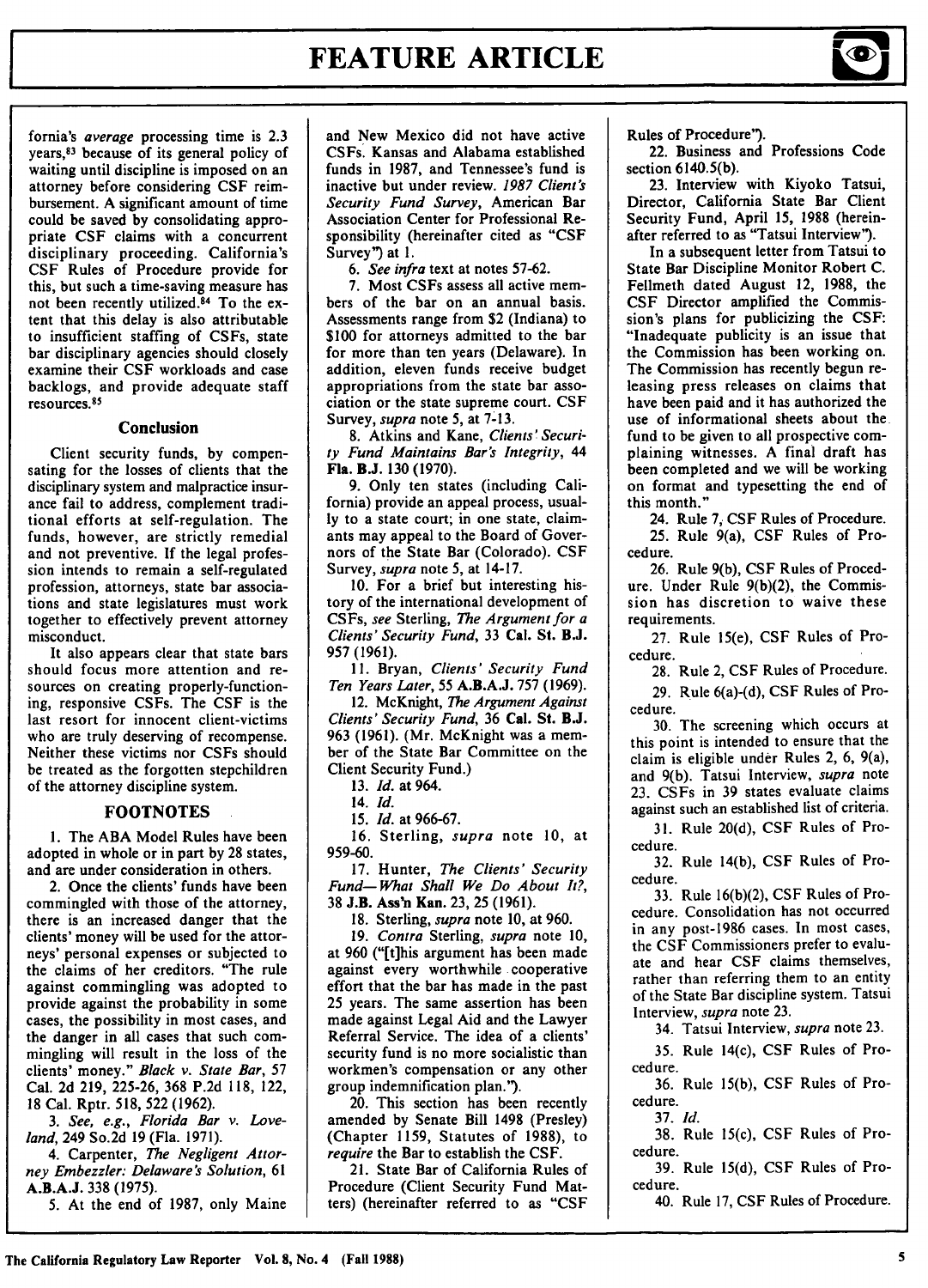### **FEATURE ARTICLE**

fornia's average processing time is **2.3** years,83 because of its general policy of waiting until discipline is imposed on an attorney before considering **CSF** reimbursement. **A** significant amount of time could be saved **by** consolidating appropriate **CSF** claims with a concurrent disciplinary proceeding. California's CSF Rules of Procedure provide for this, but such a time-saving measure has not been recently utilized.<sup>84</sup> To the extent that this delay is also attributable to insufficient staffing of CSFs, state bar disciplinary agencies should closely examine their **CSF** workloads and case backlogs, and provide adequate staff resources.<sup>85</sup>

#### Conclusion

Client security funds, **by** compensating for the losses of clients that the disciplinary system and malpractice insurance fail to address, complement traditional efforts at self-regulation. The funds, however, are strictly remedial and not preventive. **If** the legal profession intends to remain a self-regulated profession, attorneys, state bar associations and state legislatures must work together to effectively prevent attorney misconduct.

It also appears clear that state bars should focus more attention and resources on creating properly-functioning, responsive CSFs. The **CSF** is the last resort for innocent client-victims who are truly deserving of recompense. Neither these victims nor CSFs should be treated as the forgotten stepchildren of the attorney discipline system.

### **FOOTNOTES**

**1.** The **ABA** Model Rules have been adopted in whole or in part **by 28** states, and are under consideration in others.

2. Once the clients' funds have been commingled with those of the attorney, there is an increased danger that the clients' money will be used for the attorneys' personal expenses or subjected to the claims of her creditors. "The rule against commingling was adopted to provide against the probability in some cases, the possibility in most cases, and the danger in all cases that such commingling will result in the loss of the clients' money." Black *v.* State Bar, **57** Cal. **2d 219, 225-26, 368 P.2d 118,** 122, **18** Cal. Rptr. **518, 522 (1962).**

*3.* See, e.g., Florida Bar *v.* Loveland, 249 So.2d **19** (Fla. **1971).**

4. Carpenter, *The* Negligent Attorney Embezzler: Delaware's *Solution,* **61 A.B.A.J. 338 (1975).**

**5.** At the end of **1987,** only Maine

and New Mexico did not have active CSFs. Kansas and Alabama established funds in **1987,** and Tennessee's fund is inactive but under review. *1987 Client's* Security Fund *Survey,* American Bar Association Center for Professional Responsibility (hereinafter cited as "CSF Survey") at 1.

*6. See infra* text at notes 57-62.

7. Most CSFs assess all active members of the bar on an annual basis. Assessments range from \$2 (Indiana) to \$100 for attorneys admitted to the bar for more than ten years (Delaware). In addition, eleven funds receive budget appropriations from the state bar association or the state supreme court. **CSF** Survey, *supra* note 5, at **7-13.**

**8.** Atkins and Kane, Clients' Securi-

*ty Fund Maintains Bar's Integrity, 44* Fla. **B.J. 130 (1970).**

**9.** Only ten states (including California) provide an appeal process, usual**ly** to a state court; in one state, claimants may appeal to the Board of Governors of the State Bar (Colorado). **CSF** Survey, *supra* note 5, at 14-17.

10. For a brief but interesting history of the international development of CSFs, *see* Sterling, *The Argument for a* Clients' Security *Fund,* **33 Cal.** St. **B.J.** 957 (1961).

**11.** Bryan, *Clients' Security Fund Ten Years Later,* 55 A.B.A.J. 757 (1969).

12. McKnight, *The Argument Against Clients' Security Fund,* 36 **Cal. St. B.J.** 963 (1961). (Mr. McKnight was a member of the State Bar Committee on the Client Security Fund.)

13. *Id.* at 964.

14. *Id.*

15. *Id.* at 966-67.

16. Sterling, *supra* note 10, at 959-60.

17. Hunter, *The Clients' Security Fund- What Shall We Do About It?,* 38 **J.B.** Ass'n Kan. 23, 25 (1961).

18. Sterling, *supra* note 10, at 960. 19. *Contra* Sterling, *supra* note 10, at 960 ("[t]his argument has been made against every worthwhile cooperative effort that the bar has made in the past 25 years. The same assertion has been made against Legal Aid and the Lawyer Referral Service. The idea of a clients' security fund is no more socialistic than workmen's compensation or any other group indemnification plan.").

20. This section has been recently amended **by** Senate Bill 1498 (Presley) (Chapter 1159, Statutes of 1988), to *require* the Bar to establish the CSF.

21. State Bar of California Rules of Procedure (Client Security Fund Matters) (hereinafter referred to as "CSF

Rules of Procedure").

22. Business and Professions Code section **6140.5(b).**

**23.** Interview with Kiyoko Tatsui, Director, California State Bar Client Security Fund, April **15, 1988** (hereinafter referred to as "Tatsui Interview").

In a subsequent letter from Tatsui to State Bar Discipline Monitor Robert **C.** Fellmeth dated August 12, **1988,** the **CSF** Director amplified the Commission's plans for publicizing the **CSF:** "Inadequate publicity is an issue that the Commission has been working on. The Commission has recently begun releasing press releases on claims that have been paid and it has authorized the use of informational sheets about the fund to be given to all prospective complaining witnesses. **A** final draft has been completed and we will be working on format and typesetting the end of this month."

24. Rule **7, CSF** Rules of Procedure. **25.** Rule 9(a), **CSF** Rules of Procedure.

26. Rule 9(b), CSF Rules of Procedure. Under Rule 9(b)(2), the Commission has discretion to waive these requirements.

27. Rule 15(e), **CSF** Rules of Procedure.

**28.** Rule 2, **CSF** Rules of Procedure.

29. Rule 6(a)-(d), **CSF** Rules of Procedure.

30. The screening which occurs at this point is intended to ensure that the claim is eligible under Rules 2, **6,** 9(a), and 9(b). Tatsui Interview, *supra* note 23. CSFs in 39 states evaluate claims against such an established list of criteria.

31. Rule 20(d), CSF Rules of Procedure.

32. Rule 14(b), CSF Rules of Procedure.

33. Rule 16(b)(2), CSF Rules of Procedure. Consolidation has not occurred in any post-1986 cases. In most cases, the CSF Commissioners prefer to evaluate and hear CSF claims themselves, rather than referring them to an entity of the State Bar discipline system. Tatsui Interview, *supra* note 23.

34. Tatsui Interview, *supra* note 23.

35. Rule 14(c), CSF Rules of Procedure.

36. Rule 15(b), CSF Rules of Procedure.

37. *Id.*

38. Rule 15(c), CSF Rules of Procedure.

39. Rule 15(d), CSF Rules of Procedure.

40. Rule 17, CSF Rules of Procedure.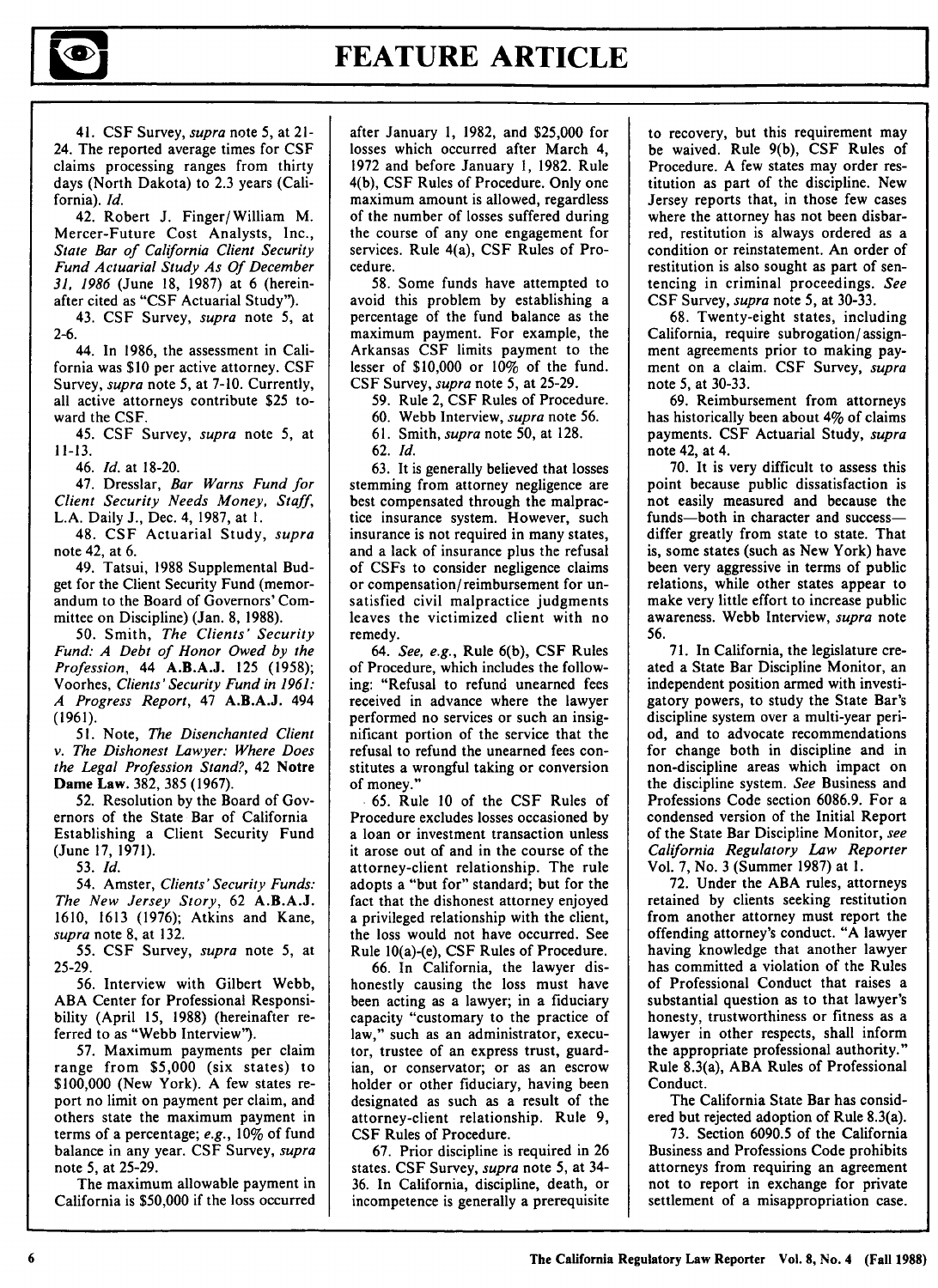# **FEATURE ARTICLE I**

41. CSF Survey, *supra* note 5, at 21- 24. The reported average times for CSF claims processing ranges from thirty days (North Dakota) to 2.3 years (California). *Id.*

42. Robert J. Finger/William M. Mercer-Future Cost Analysts, Inc., *State Bar of California Client Security Fund Actuarial Study As Of December 31, 1986* (June 18, 1987) at 6 (hereinafter cited as "CSF Actuarial Study").

43. CSF Survey, *supra* note 5, at 2-6.

44. In 1986, the assessment in California was **\$10** per active attorney. CSF Survey, *supra* note 5, at 7-10. Currently, all active attorneys contribute \$25 toward the CSF.

45. CSF Survey, *supra* note 5, at 11-13.

46. *Id.* at 18-20.

47. Dresslar, *Bar Warns Fund for Client Security Needs Money, Staff,* L.A. Daily J., Dec. 4, 1987, at **1.**

48. CSF Actuarial Study, *supra* note 42, at 6.

49. Tatsui, 1988 Supplemental Budget for the Client Security Fund (memorandum to the Board of Governors' Committee on Discipline) (Jan. 8, 1988).

50. Smith, *The Clients' Security Fund: A Debt of Honor Owed by the Profession,* 44 **A.B.A.J.** 125 (1958); Voorhes, *Clients'Security Fund in 1961: A Progress Report,* 47 **A.B.A.J.** 494 (1961).

51. Note, *The Disenchanted Client v. The Dishonest Lawyer: Where Does the Legal Profession Stand?,* 42 Notre **Dame Law.** 382, 385 (1967).

**52.** Resolution by the Board of Governors of the State Bar of California Establishing a Client Security Fund (June **17, 1971).**

53. *Id.*

54. Amster, *Clients' Security Funds: The New Jersey Story,* 62 A.B.A.J. 1610, 1613 (1976); Atkins and Kane, *supra* note 8, at 132.

55. CSF Survey, *supra* note 5, at 25-29.

56. Interview with Gilbert Webb, ABA Center for Professional Responsibility (April 15, 1988) (hereinafter referred to as "Webb Interview').

57. Maximum payments per claim range from \$5,000 (six states) to \$100,000 (New York). A few states report no limit on payment per claim, and others state the maximum payment in terms of a percentage; *e.g.,* 10% of fund balance in any year. CSF Survey, *supra* note 5, at 25-29.

The maximum allowable payment in California is \$50,000 if the loss occurred

after January 1, 1982, and \$25,000 for losses which occurred after March 4, 1972 and before January 1, 1982. Rule 4(b), CSF Rules of Procedure. Only one maximum amount is allowed, regardless of the number of losses suffered during the course of any one engagement for services. Rule 4(a), CSF Rules of Procedure.

58. Some funds have attempted to avoid this problem by establishing a percentage of the fund balance as the maximum payment. For example, the Arkansas CSF limits payment to the lesser of  $$10,000$  or  $10\%$  of the fund. CSF Survey, *supra* note 5, at 25-29.

59. Rule 2, CSF Rules of Procedure.

60. Webb Interview, *supra* note 56.

61. Smith, *supra* note 50, at 128.

62. *Id.*

63. It is generally believed that losses stemming from attorney negligence are best compensated through the malpractice insurance system. However, such insurance is not required in many states, and a lack of insurance plus the refusal of CSFs to consider negligence claims or compensation/ reimbursement for unsatisfied civil malpractice judgments leaves the victimized client with no remedy.

64. *See, e.g.,* Rule 6(b), CSF Rules of Procedure, which includes the following: "Refusal to refund unearned fees received in advance where the lawyer performed no services or such an insignificant portion of the service that the refusal to refund the unearned fees constitutes a wrongful taking or conversion of money."

65. Rule 10 of the CSF Rules of Procedure excludes losses occasioned by a loan or investment transaction unless it arose out of and in the course of the attorney-client relationship. The rule adopts a "but for" standard; but for the fact that the dishonest attorney enjoyed a privileged relationship with the client, the loss would not have occurred. See Rule 10(a)-(e), CSF Rules of Procedure.

66. In California, the lawyer dishonestly causing the loss must have been acting as a lawyer; in a fiduciary capacity "customary to the practice of law," such as an administrator, executor, trustee of an express trust, guardian, or conservator; or as an escrow holder or other fiduciary, having been designated as such as a result of the attorney-client relationship. Rule 9, CSF Rules of Procedure.

67. Prior discipline is required in 26 states. CSF Survey, *supra* note 5, at 34- 36. In California, discipline, death, or incompetence is generally a prerequisite to recovery, but this requirement may be waived. Rule 9(b), CSF Rules of Procedure. A few states may order restitution as part of the discipline. New Jersey reports that, in those few cases where the attorney has not been disbarred, restitution is always ordered as a condition or reinstatement. An order of restitution is also sought as part of sentencing in criminal proceedings. *See* CSF Survey, *supra* note 5, at 30-33.

68. Twenty-eight states, including California, require subrogation/ assignment agreements prior to making payment on a claim. CSF Survey, *supra* note 5, at 30-33.

69. Reimbursement from attorneys has historically been about 4% of claims payments. CSF Actuarial Study, *supra* note 42, at 4.

70. It is very difficult to assess this point because public dissatisfaction is not easily measured and because the funds-both in character and successdiffer greatly from state to state. That is, some states (such as New York) have been very aggressive in terms of public relations, while other states appear to make very little effort to increase public awareness. Webb Interview, *supra* note 56.

71. In California, the legislature created a State Bar Discipline Monitor, an independent position armed with investigatory powers, to study the State Bar's discipline system over a multi-year period, and to advocate recommendations for change both in discipline and in non-discipline areas which impact on the discipline system. *See* Business and Professions Code section 6086.9. For a condensed version of the Initial Report of the State Bar Discipline Monitor, *see California Regulatory Law Reporter* Vol. 7, No. 3 (Summer 1987) at 1.

72. Under the ABA rules, attorneys retained by clients seeking restitution from another attorney must report the offending attorney's conduct. "A lawyer having knowledge that another lawyer has committed a violation of the Rules of Professional Conduct that raises a substantial question as to that lawyer's honesty, trustworthiness or fitness as a lawyer in other respects, shall inform the appropriate professional authority." Rule 8.3(a), ABA Rules of Professional Conduct.

The California State Bar has considered but rejected adoption of Rule 8.3(a).

73. Section 6090.5 of the California Business and Professions Code prohibits attorneys from requiring an agreement not to report in exchange for private settlement of a misappropriation case.